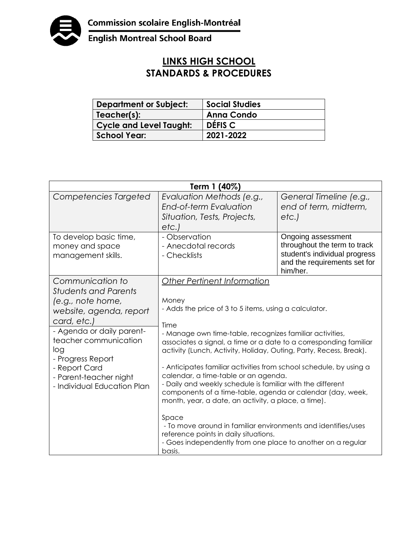

English Montreal School Board

## **LINKS HIGH SCHOOL STANDARDS & PROCEDURES**

| <b>Department or Subject:</b> | <b>Social Studies</b> |
|-------------------------------|-----------------------|
| Teacher(s):                   | <b>Anna Condo</b>     |
| Cycle and Level Taught:       | DÉFIS C               |
| <b>School Year:</b>           | 2021-2022             |

| Term 1 (40%)                                                                                                                                                                                                                                                               |                                                                                                                                                                                                                                                                                                                                                                                                                                                                                                                                                                                                                                                                                                                                                                                                 |                                                                                                                                 |  |
|----------------------------------------------------------------------------------------------------------------------------------------------------------------------------------------------------------------------------------------------------------------------------|-------------------------------------------------------------------------------------------------------------------------------------------------------------------------------------------------------------------------------------------------------------------------------------------------------------------------------------------------------------------------------------------------------------------------------------------------------------------------------------------------------------------------------------------------------------------------------------------------------------------------------------------------------------------------------------------------------------------------------------------------------------------------------------------------|---------------------------------------------------------------------------------------------------------------------------------|--|
| Competencies Targeted                                                                                                                                                                                                                                                      | Evaluation Methods (e.g.,<br>End-of-term Evaluation<br>Situation, Tests, Projects,<br>etc.)                                                                                                                                                                                                                                                                                                                                                                                                                                                                                                                                                                                                                                                                                                     | General Timeline (e.g.,<br>end of term, midterm,<br>etc.                                                                        |  |
| To develop basic time,<br>money and space<br>management skills.                                                                                                                                                                                                            | - Observation<br>- Anecdotal records<br>- Checklists                                                                                                                                                                                                                                                                                                                                                                                                                                                                                                                                                                                                                                                                                                                                            | Ongoing assessment<br>throughout the term to track<br>student's individual progress<br>and the requirements set for<br>him/her. |  |
| Communication to<br><b>Students and Parents</b><br>(e.g., note home,<br>website, agenda, report<br>card, etc.)<br>- Agenda or daily parent-<br>teacher communication<br>log<br>- Progress Report<br>- Report Card<br>- Parent-teacher night<br>- Individual Education Plan | Other Pertinent Information<br>Money<br>- Adds the price of 3 to 5 items, using a calculator.<br>Time<br>- Manage own time-table, recognizes familiar activities,<br>associates a signal, a time or a date to a corresponding familiar<br>activity (Lunch, Activity, Holiday, Outing, Party, Recess, Break).<br>- Anticipates familiar activities from school schedule, by using a<br>calendar, a time-table or an agenda.<br>- Daily and weekly schedule is familiar with the different<br>components of a time-table, agenda or calendar (day, week,<br>month, year, a date, an activity, a place, a time).<br>Space<br>- To move around in familiar environments and identifies/uses<br>reference points in daily situations.<br>- Goes independently from one place to another on a regular |                                                                                                                                 |  |